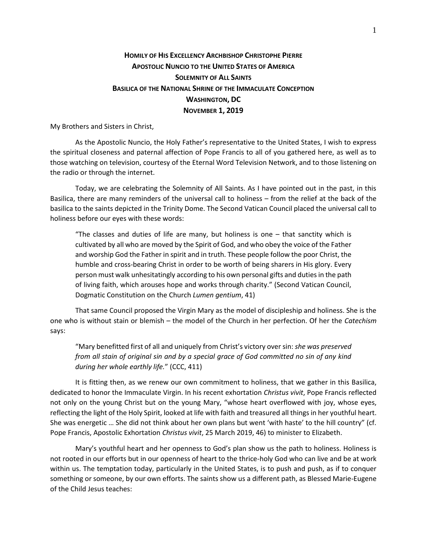## **HOMILY OF HIS EXCELLENCY ARCHBISHOP CHRISTOPHE PIERRE APOSTOLIC NUNCIO TO THE UNITED STATES OF AMERICA SOLEMNITY OF ALL SAINTS BASILICA OF THE NATIONAL SHRINE OF THE IMMACULATE CONCEPTION WASHINGTON, DC NOVEMBER 1, 2019**

My Brothers and Sisters in Christ,

As the Apostolic Nuncio, the Holy Father's representative to the United States, I wish to express the spiritual closeness and paternal affection of Pope Francis to all of you gathered here, as well as to those watching on television, courtesy of the Eternal Word Television Network, and to those listening on the radio or through the internet.

Today, we are celebrating the Solemnity of All Saints. As I have pointed out in the past, in this Basilica, there are many reminders of the universal call to holiness – from the relief at the back of the basilica to the saints depicted in the Trinity Dome. The Second Vatican Council placed the universal call to holiness before our eyes with these words:

"The classes and duties of life are many, but holiness is one – that sanctity which is cultivated by all who are moved by the Spirit of God, and who obey the voice of the Father and worship God the Father in spirit and in truth. These people follow the poor Christ, the humble and cross-bearing Christ in order to be worth of being sharers in His glory. Every person must walk unhesitatingly according to his own personal gifts and duties in the path of living faith, which arouses hope and works through charity." (Second Vatican Council, Dogmatic Constitution on the Church *Lumen gentium*, 41)

That same Council proposed the Virgin Mary as the model of discipleship and holiness. She is the one who is without stain or blemish – the model of the Church in her perfection. Of her the *Catechism*  says:

"Mary benefitted first of all and uniquely from Christ's victory over sin: *she was preserved from all stain of original sin and by a special grace of God committed no sin of any kind during her whole earthly life.*" (CCC, 411)

It is fitting then, as we renew our own commitment to holiness, that we gather in this Basilica, dedicated to honor the Immaculate Virgin. In his recent exhortation *Christus vivit*, Pope Francis reflected not only on the young Christ but on the young Mary, "whose heart overflowed with joy, whose eyes, reflecting the light of the Holy Spirit, looked at life with faith and treasured all things in her youthful heart. She was energetic … She did not think about her own plans but went 'with haste' to the hill country" (cf. Pope Francis, Apostolic Exhortation *Christus vivit*, 25 March 2019, 46) to minister to Elizabeth.

Mary's youthful heart and her openness to God's plan show us the path to holiness. Holiness is not rooted in our efforts but in our openness of heart to the thrice-holy God who can live and be at work within us. The temptation today, particularly in the United States, is to push and push, as if to conquer something or someone, by our own efforts. The saints show us a different path, as Blessed Marie-Eugene of the Child Jesus teaches: